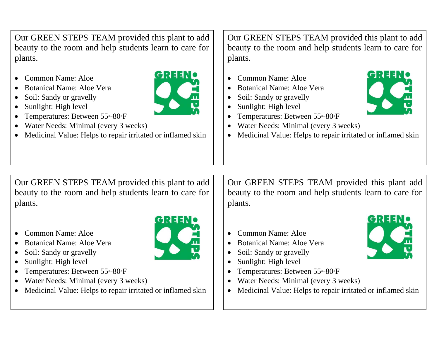Our GREEN STEPS TEAM provided this plant to add beauty to the room and help students learn to care for plants.

- Common Name: Aloe
- Botanical Name: Aloe Vera
- Soil: Sandy or gravelly
- Sunlight: High level
- Temperatures: Between 55 °-80 <sup>P</sup>F
- Water Needs: Minimal (every 3 weeks)
- Medicinal Value: Helps to repair irritated or inflamed skin

Our GREEN STEPS TEAM provided this plant to add beauty to the room and help students learn to care for plants.

- Common Name: Aloe
- Botanical Name: Aloe Vera
- Soil: Sandy or gravelly
- Sunlight: High level
- Temperatures: Between 55-80 F
- Water Needs: Minimal (every 3 weeks)
- Medicinal Value: Helps to repair irritated or inflamed skin

Our GREEN STEPS TEAM provided this plant to add beauty to the room and help students learn to care for plants.

- Common Name: Aloe
- Botanical Name: Aloe Vera
- Soil: Sandy or gravelly
- Sunlight: High level
- Temperatures: Between 55 °-80 <sup>°</sup>F
- Water Needs: Minimal (every 3 weeks)
- Medicinal Value: Helps to repair irritated or inflamed skin

Our GREEN STEPS TEAM provided this plant add beauty to the room and help students learn to care for plants.

- Common Name: Aloe
- Botanical Name: Aloe Vera
- Soil: Sandy or gravelly
- Sunlight: High level
- Temperatures: Between 55<sup>°</sup>-80<sup>°</sup>F
- Water Needs: Minimal (every 3 weeks)
- Medicinal Value: Helps to repair irritated or inflamed skin





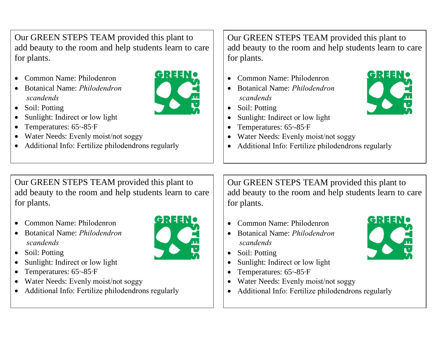Our GREEN STEPS TEAM provided this plant to add beauty to the room and help students learn to care for plants.

- Common Name: Philodenron
- Botanical Name: *Philodendron scandends*



- Soil: Potting
- Sunlight: Indirect or low light
- Temperatures: 65-85 F
- Water Needs: Evenly moist/not soggy
- Additional Info: Fertilize philodendrons regularly

Our GREEN STEPS TEAM provided this plant to add beauty to the room and help students learn to care for plants.

- Common Name: Philodenron
- Botanical Name: *Philodendron scandends*
- Soil: Potting
- Sunlight: Indirect or low light
- Temperatures: 65-85-F
- Water Needs: Evenly moist/not soggy
- Additional Info: Fertilize philodendrons regularly

Our GREEN STEPS TEAM provided this plant to add beauty to the room and help students learn to care for plants.

- Common Name: Philodenron
- Botanical Name: *Philodendron scandends*
- Soil: Potting
- Sunlight: Indirect or low light
- Temperatures: 65°-85°F
- Water Needs: Evenly moist/not soggy
- Additional Info: Fertilize philodendrons regularly

Our GREEN STEPS TEAM provided this plant to add beauty to the room and help students learn to care for plants.

- Common Name: Philodenron
- Botanical Name: *Philodendron scandends*
- Soil: Potting
- Sunlight: Indirect or low light
- Temperatures: 65-85-F
- Water Needs: Evenly moist/not soggy
- Additional Info: Fertilize philodendrons regularly